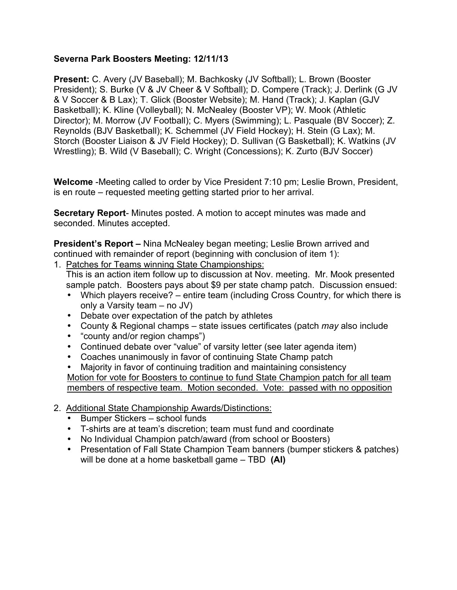## **Severna Park Boosters Meeting: 12/11/13**

**Present:** C. Avery (JV Baseball); M. Bachkosky (JV Softball); L. Brown (Booster President); S. Burke (V & JV Cheer & V Softball); D. Compere (Track); J. Derlink (G JV & V Soccer & B Lax); T. Glick (Booster Website); M. Hand (Track); J. Kaplan (GJV Basketball); K. Kline (Volleyball); N. McNealey (Booster VP); W. Mook (Athletic Director); M. Morrow (JV Football); C. Myers (Swimming); L. Pasquale (BV Soccer); Z. Reynolds (BJV Basketball); K. Schemmel (JV Field Hockey); H. Stein (G Lax); M. Storch (Booster Liaison & JV Field Hockey); D. Sullivan (G Basketball); K. Watkins (JV Wrestling); B. Wild (V Baseball); C. Wright (Concessions); K. Zurto (BJV Soccer)

**Welcome** -Meeting called to order by Vice President 7:10 pm; Leslie Brown, President, is en route – requested meeting getting started prior to her arrival.

**Secretary Report**- Minutes posted. A motion to accept minutes was made and seconded. Minutes accepted.

**President's Report –** Nina McNealey began meeting; Leslie Brown arrived and continued with remainder of report (beginning with conclusion of item 1):

1. Patches for Teams winning State Championships:

 This is an action item follow up to discussion at Nov. meeting. Mr. Mook presented sample patch. Boosters pays about \$9 per state champ patch. Discussion ensued:

- Which players receive? entire team (including Cross Country, for which there is only a Varsity team – no JV)
- Debate over expectation of the patch by athletes
- County & Regional champs state issues certificates (patch *may* also include
- "county and/or region champs")
- Continued debate over "value" of varsity letter (see later agenda item)
- Coaches unanimously in favor of continuing State Champ patch
- Majority in favor of continuing tradition and maintaining consistency

Motion for vote for Boosters to continue to fund State Champion patch for all team members of respective team. Motion seconded. Vote: passed with no opposition

- 2. Additional State Championship Awards/Distinctions:
	- Bumper Stickers school funds
	- T-shirts are at team's discretion; team must fund and coordinate
	- No Individual Champion patch/award (from school or Boosters)
	- Presentation of Fall State Champion Team banners (bumper stickers & patches) will be done at a home basketball game – TBD **(AI)**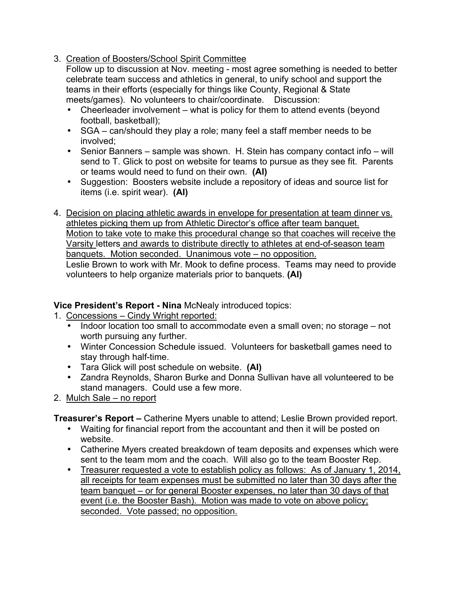3. Creation of Boosters/School Spirit Committee

 Follow up to discussion at Nov. meeting - most agree something is needed to better celebrate team success and athletics in general, to unify school and support the teams in their efforts (especially for things like County, Regional & State meets/games). No volunteers to chair/coordinate. Discussion:

- Cheerleader involvement what is policy for them to attend events (beyond football, basketball);
- SGA can/should they play a role; many feel a staff member needs to be involved;
- Senior Banners sample was shown. H. Stein has company contact info will send to T. Glick to post on website for teams to pursue as they see fit. Parents or teams would need to fund on their own. **(AI)**
- Suggestion: Boosters website include a repository of ideas and source list for items (i.e. spirit wear). **(AI)**
- 4. Decision on placing athletic awards in envelope for presentation at team dinner vs. athletes picking them up from Athletic Director's office after team banquet. Motion to take vote to make this procedural change so that coaches will receive the Varsity letters and awards to distribute directly to athletes at end-of-season team banquets. Motion seconded. Unanimous vote – no opposition. Leslie Brown to work with Mr. Mook to define process. Teams may need to provide volunteers to help organize materials prior to banquets. **(AI)**

# **Vice President's Report - Nina** McNealy introduced topics:

- 1. Concessions Cindy Wright reported:
	- Indoor location too small to accommodate even a small oven; no storage not worth pursuing any further.
	- Winter Concession Schedule issued. Volunteers for basketball games need to stay through half-time.
	- Tara Glick will post schedule on website. **(AI)**
	- Zandra Reynolds, Sharon Burke and Donna Sullivan have all volunteered to be stand managers. Could use a few more.
- 2. Mulch Sale no report

**Treasurer's Report –** Catherine Myers unable to attend; Leslie Brown provided report.

- Waiting for financial report from the accountant and then it will be posted on website.
- Catherine Myers created breakdown of team deposits and expenses which were sent to the team mom and the coach. Will also go to the team Booster Rep.
- Treasurer requested a vote to establish policy as follows: As of January 1, 2014, all receipts for team expenses must be submitted no later than 30 days after the team banquet – or for general Booster expenses, no later than 30 days of that event (i.e. the Booster Bash). Motion was made to vote on above policy; seconded. Vote passed; no opposition.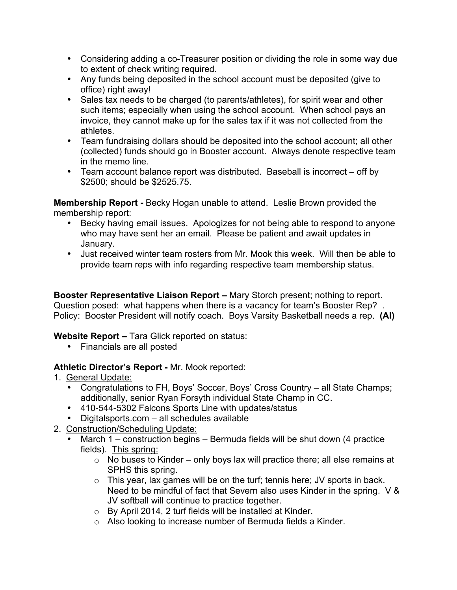- Considering adding a co-Treasurer position or dividing the role in some way due to extent of check writing required.
- Any funds being deposited in the school account must be deposited (give to office) right away!
- Sales tax needs to be charged (to parents/athletes), for spirit wear and other such items; especially when using the school account. When school pays an invoice, they cannot make up for the sales tax if it was not collected from the athletes.
- Team fundraising dollars should be deposited into the school account; all other (collected) funds should go in Booster account. Always denote respective team in the memo line.
- Team account balance report was distributed. Baseball is incorrect off by \$2500; should be \$2525.75.

**Membership Report -** Becky Hogan unable to attend. Leslie Brown provided the membership report:

- Becky having email issues. Apologizes for not being able to respond to anyone who may have sent her an email. Please be patient and await updates in January.
- Just received winter team rosters from Mr. Mook this week. Will then be able to provide team reps with info regarding respective team membership status.

**Booster Representative Liaison Report –** Mary Storch present; nothing to report. Question posed: what happens when there is a vacancy for team's Booster Rep? . Policy: Booster President will notify coach. Boys Varsity Basketball needs a rep. **(AI)**

**Website Report –** Tara Glick reported on status:

• Financials are all posted

# **Athletic Director's Report -** Mr. Mook reported:

- 1. General Update:
	- Congratulations to FH, Boys' Soccer, Boys' Cross Country all State Champs; additionally, senior Ryan Forsyth individual State Champ in CC.
	- 410-544-5302 Falcons Sports Line with updates/status
	- Digitalsports.com all schedules available
- 2. Construction/Scheduling Update:
	- March 1 construction begins Bermuda fields will be shut down (4 practice fields). This spring:
		- $\circ$  No buses to Kinder only boys lax will practice there; all else remains at SPHS this spring.
		- o This year, lax games will be on the turf; tennis here; JV sports in back. Need to be mindful of fact that Severn also uses Kinder in the spring. V & JV softball will continue to practice together.
		- o By April 2014, 2 turf fields will be installed at Kinder.
		- o Also looking to increase number of Bermuda fields a Kinder.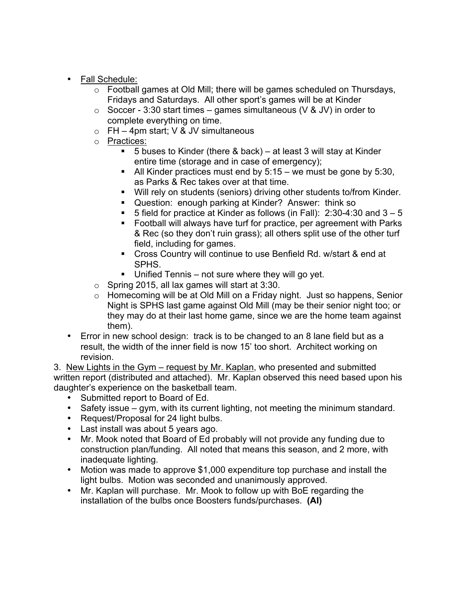- Fall Schedule:
	- o Football games at Old Mill; there will be games scheduled on Thursdays, Fridays and Saturdays. All other sport's games will be at Kinder
	- $\circ$  Soccer 3:30 start times games simultaneous (V & JV) in order to complete everything on time.
	- $\circ$  FH 4pm start; V & JV simultaneous
	- o Practices:
		- $\blacksquare$  5 buses to Kinder (there & back) at least 3 will stay at Kinder entire time (storage and in case of emergency);
		- $\blacksquare$  All Kinder practices must end by 5:15 we must be gone by 5:30, as Parks & Rec takes over at that time.
		- Will rely on students (seniors) driving other students to/from Kinder.
		- Question: enough parking at Kinder? Answer: think so
		- 5 field for practice at Kinder as follows (in Fall):  $2:30-4:30$  and  $3-5$
		- Football will always have turf for practice, per agreement with Parks & Rec (so they don't ruin grass); all others split use of the other turf field, including for games.
		- Cross Country will continue to use Benfield Rd. w/start & end at SPHS.
		- Unified Tennis not sure where they will go yet.
	- $\circ$  Spring 2015, all lax games will start at 3:30.
	- o Homecoming will be at Old Mill on a Friday night. Just so happens, Senior Night is SPHS last game against Old Mill (may be their senior night too; or they may do at their last home game, since we are the home team against them).
- Error in new school design: track is to be changed to an 8 lane field but as a result, the width of the inner field is now 15' too short. Architect working on revision.

3. New Lights in the Gym – request by Mr. Kaplan, who presented and submitted written report (distributed and attached). Mr. Kaplan observed this need based upon his daughter's experience on the basketball team.

- Submitted report to Board of Ed.
- Safety issue gym, with its current lighting, not meeting the minimum standard.
- Request/Proposal for 24 light bulbs.
- Last install was about 5 years ago.
- Mr. Mook noted that Board of Ed probably will not provide any funding due to construction plan/funding. All noted that means this season, and 2 more, with inadequate lighting.
- Motion was made to approve \$1,000 expenditure top purchase and install the light bulbs. Motion was seconded and unanimously approved.
- Mr. Kaplan will purchase. Mr. Mook to follow up with BoE regarding the installation of the bulbs once Boosters funds/purchases. **(AI)**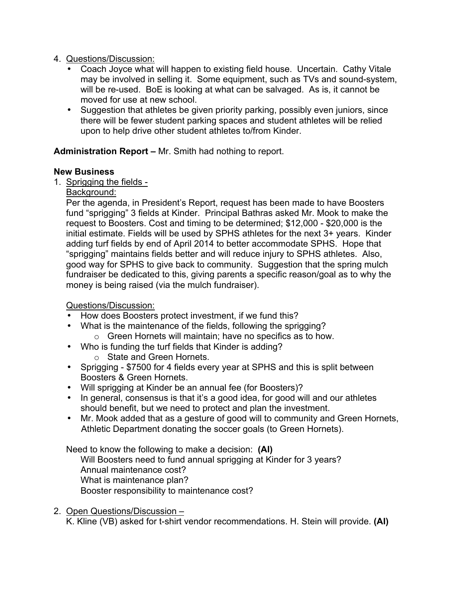# 4. Questions/Discussion:

- Coach Joyce what will happen to existing field house. Uncertain. Cathy Vitale may be involved in selling it. Some equipment, such as TVs and sound-system, will be re-used. BoE is looking at what can be salvaged. As is, it cannot be moved for use at new school.
- Suggestion that athletes be given priority parking, possibly even juniors, since there will be fewer student parking spaces and student athletes will be relied upon to help drive other student athletes to/from Kinder.

# **Administration Report –** Mr. Smith had nothing to report.

## **New Business**

- 1. Sprigging the fields
	- Background:

 Per the agenda, in President's Report, request has been made to have Boosters fund "sprigging" 3 fields at Kinder. Principal Bathras asked Mr. Mook to make the request to Boosters. Cost and timing to be determined; \$12,000 - \$20,000 is the initial estimate. Fields will be used by SPHS athletes for the next 3+ years. Kinder adding turf fields by end of April 2014 to better accommodate SPHS. Hope that "sprigging" maintains fields better and will reduce injury to SPHS athletes. Also, good way for SPHS to give back to community. Suggestion that the spring mulch fundraiser be dedicated to this, giving parents a specific reason/goal as to why the money is being raised (via the mulch fundraiser).

# Questions/Discussion:

- How does Boosters protect investment, if we fund this?
- What is the maintenance of the fields, following the sprigging?
	- o Green Hornets will maintain; have no specifics as to how.
- Who is funding the turf fields that Kinder is adding?
	- o State and Green Hornets.
- Sprigging \$7500 for 4 fields every year at SPHS and this is split between Boosters & Green Hornets.
- Will sprigging at Kinder be an annual fee (for Boosters)?
- In general, consensus is that it's a good idea, for good will and our athletes should benefit, but we need to protect and plan the investment.
- Mr. Mook added that as a gesture of good will to community and Green Hornets, Athletic Department donating the soccer goals (to Green Hornets).

#### Need to know the following to make a decision: **(AI)**

Will Boosters need to fund annual sprigging at Kinder for 3 years? Annual maintenance cost? What is maintenance plan? Booster responsibility to maintenance cost?

#### 2. Open Questions/Discussion –

K. Kline (VB) asked for t-shirt vendor recommendations. H. Stein will provide. **(AI)**